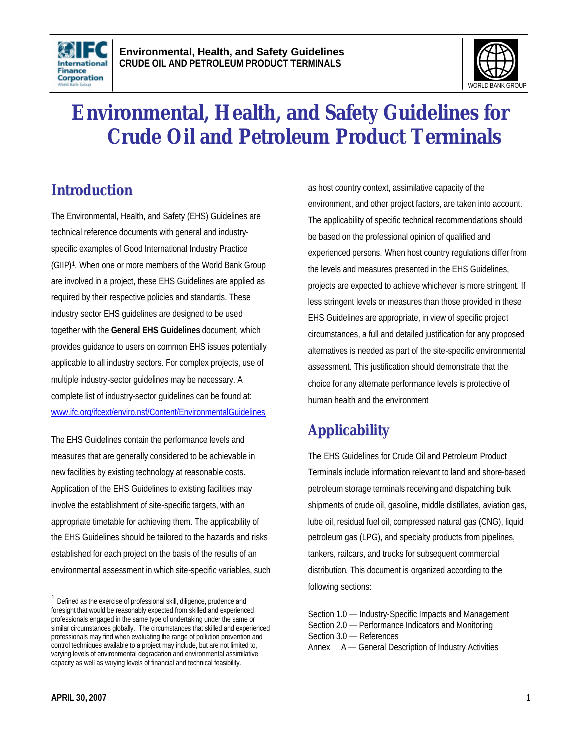



# **Environmental, Health, and Safety Guidelines for Crude Oil and Petroleum Product Terminals**

## **Introduction**

The Environmental, Health, and Safety (EHS) Guidelines are technical reference documents with general and industryspecific examples of Good International Industry Practice (GIIP) 1 . When one or more members of the World Bank Group are involved in a project, these EHS Guidelines are applied as required by their respective policies and standards. These industry sector EHS guidelines are designed to be used together with the **General EHS Guidelines** document, which provides guidance to users on common EHS issues potentially applicable to all industry sectors. For complex projects, use of multiple industry-sector guidelines may be necessary. A complete list of industry-sector guidelines can be found at: www.ifc.org/ifcext/enviro.nsf/Content/EnvironmentalGuidelines

The EHS Guidelines contain the performance levels and measures that are generally considered to be achievable in new facilities by existing technology at reasonable costs. Application of the EHS Guidelines to existing facilities may involve the establishment of site-specific targets, with an appropriate timetable for achieving them. The applicability of the EHS Guidelines should be tailored to the hazards and risks established for each project on the basis of the results of an environmental assessment in which site-specific variables, such as host country context, assimilative capacity of the environment, and other project factors, are taken into account. The applicability of specific technical recommendations should be based on the professional opinion of qualified and experienced persons. When host country regulations differ from the levels and measures presented in the EHS Guidelines, projects are expected to achieve whichever is more stringent. If less stringent levels or measures than those provided in these EHS Guidelines are appropriate, in view of specific project circumstances, a full and detailed justification for any proposed alternatives is needed as part of the site-specific environmental assessment. This justification should demonstrate that the choice for any alternate performance levels is protective of human health and the environment

# **Applicability**

The EHS Guidelines for Crude Oil and Petroleum Product Terminals include information relevant to land and shore-based petroleum storage terminals receiving and dispatching bulk shipments of crude oil, gasoline, middle distillates, aviation gas, lube oil, residual fuel oil, compressed natural gas (CNG), liquid petroleum gas (LPG), and specialty products from pipelines, tankers, railcars, and trucks for subsequent commercial distribution. This document is organized according to the following sections:

 1 Defined as the exercise of professional skill, diligence, prudence and foresight that would be reasonably expected from skilled and experienced professionals engaged in the same type of undertaking under the same or similar circumstances globally. The circumstances that skilled and experienced professionals may find when evaluating the range of pollution prevention and control techniques available to a project may include, but are not limited to, varying levels of environmental degradation and environmental assimilative capacity as well as varying levels of financial and technical feasibility.

Section 1.0 — Industry-Specific Impacts and Management Section 2.0 — Performance Indicators and Monitoring Section 3.0 — References

Annex A — General Description of Industry Activities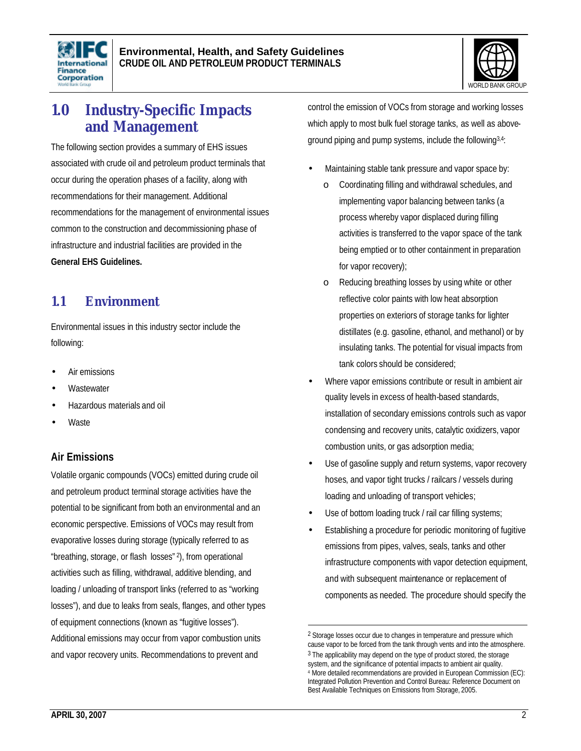



### **1.0 Industry-Specific Impacts and Management**

The following section provides a summary of EHS issues associated with crude oil and petroleum product terminals that occur during the operation phases of a facility, along with recommendations for their management. Additional recommendations for the management of environmental issues common to the construction and decommissioning phase of infrastructure and industrial facilities are provided in the **General EHS Guidelines.**

#### **1.1 Environment**

Environmental issues in this industry sector include the following:

- Air emissions
- **Wastewater**
- Hazardous materials and oil
- **Waste**

#### **Air Emissions**

Volatile organic compounds (VOCs) emitted during crude oil and petroleum product terminal storage activities have the potential to be significant from both an environmental and an economic perspective. Emissions of VOCs may result from evaporative losses during storage (typically referred to as "breathing, storage, or flash losses" <sup>2</sup> ), from operational activities such as filling, withdrawal, additive blending, and loading / unloading of transport links (referred to as "working losses"), and due to leaks from seals, flanges, and other types of equipment connections (known as "fugitive losses"). Additional emissions may occur from vapor combustion units and vapor recovery units. Recommendations to prevent and

control the emission of VOCs from storage and working losses which apply to most bulk fuel storage tanks, as well as aboveground piping and pump systems, include the following<sup>3,4</sup>:

- Maintaining stable tank pressure and vapor space by:
	- o Coordinating filling and withdrawal schedules, and implementing vapor balancing between tanks (a process whereby vapor displaced during filling activities is transferred to the vapor space of the tank being emptied or to other containment in preparation for vapor recovery);
	- o Reducing breathing losses by using white or other reflective color paints with low heat absorption properties on exteriors of storage tanks for lighter distillates (e.g. gasoline, ethanol, and methanol) or by insulating tanks. The potential for visual impacts from tank colors should be considered;
- Where vapor emissions contribute or result in ambient air quality levels in excess of health-based standards, installation of secondary emissions controls such as vapor condensing and recovery units, catalytic oxidizers, vapor combustion units, or gas adsorption media;
- Use of gasoline supply and return systems, vapor recovery hoses, and vapor tight trucks / railcars / vessels during loading and unloading of transport vehicles;
- Use of bottom loading truck / rail car filling systems;
- Establishing a procedure for periodic monitoring of fugitive emissions from pipes, valves, seals, tanks and other infrastructure components with vapor detection equipment, and with subsequent maintenance or replacement of components as needed. The procedure should specify the

<sup>&</sup>lt;sup>2</sup> Storage losses occur due to changes in temperature and pressure which cause vapor to be forced from the tank through vents and into the atmosphere.  $3$  The applicability may depend on the type of product stored, the storage system, and the significance of potential impacts to ambient air quality. 4 More detailed recommendations are provided in European Commission (EC): Integrated Pollution Prevention and Control Bureau: Reference Document on Best Available Techniques on Emissions from Storage, 2005.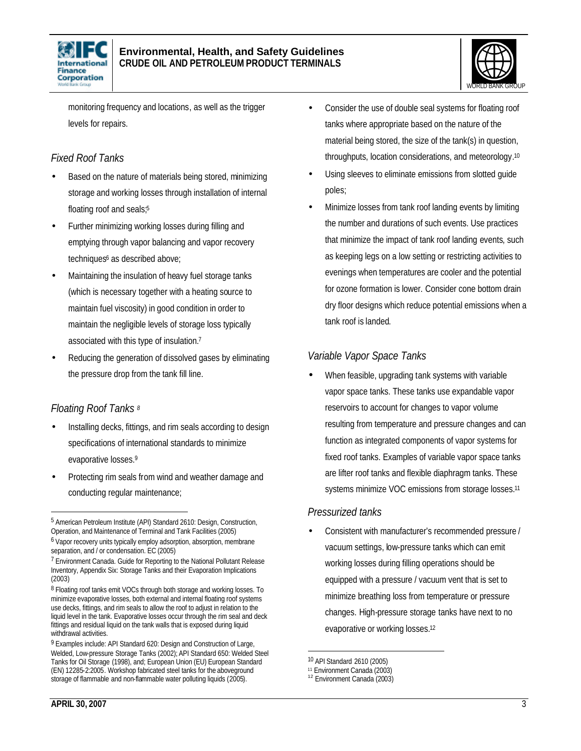

#### **Environmental, Health, and Safety Guidelines CRUDE OIL AND PETROLEUM PRODUCT TERMINALS**



monitoring frequency and locations, as well as the trigger levels for repairs.

#### *Fixed Roof Tanks*

- Based on the nature of materials being stored, minimizing storage and working losses through installation of internal floating roof and seals;<sup>5</sup>
- Further minimizing working losses during filling and emptying through vapor balancing and vapor recovery techniques<sup>6</sup> as described above;
- Maintaining the insulation of heavy fuel storage tanks (which is necessary together with a heating source to maintain fuel viscosity) in good condition in order to maintain the negligible levels of storage loss typically associated with this type of insulation.<sup>7</sup>
- Reducing the generation of dissolved gases by eliminating the pressure drop from the tank fill line.

#### *Floating Roof Tanks <sup>8</sup>*

- Installing decks, fittings, and rim seals according to design specifications of international standards to minimize evaporative losses.<sup>9</sup>
- Protecting rim seals from wind and weather damage and conducting regular maintenance;
- Consider the use of double seal systems for floating roof tanks where appropriate based on the nature of the material being stored, the size of the tank(s) in question, throughputs, location considerations, and meteorology. 10
- Using sleeves to eliminate emissions from slotted quide poles;
- Minimize losses from tank roof landing events by limiting the number and durations of such events. Use practices that minimize the impact of tank roof landing events, such as keeping legs on a low setting or restricting activities to evenings when temperatures are cooler and the potential for ozone formation is lower. Consider cone bottom drain dry floor designs which reduce potential emissions when a tank roof is landed.

#### *Variable Vapor Space Tanks*

• When feasible, upgrading tank systems with variable vapor space tanks. These tanks use expandable vapor reservoirs to account for changes to vapor volume resulting from temperature and pressure changes and can function as integrated components of vapor systems for fixed roof tanks. Examples of variable vapor space tanks are lifter roof tanks and flexible diaphragm tanks. These systems minimize VOC emissions from storage losses.<sup>11</sup>

#### *Pressurized tanks*

• Consistent with manufacturer's recommended pressure / vacuum settings, low-pressure tanks which can emit working losses during filling operations should be equipped with a pressure / vacuum vent that is set to minimize breathing loss from temperature or pressure changes. High-pressure storage tanks have next to no evaporative or working losses.<sup>12</sup>

<sup>5</sup> American Petroleum Institute (API) Standard 2610: Design, Construction, Operation, and Maintenance of Terminal and Tank Facilities (2005) <sup>6</sup> Vapor recovery units typically employ adsorption, absorption, membrane

separation, and / or condensation. EC (2005) <sup>7</sup> Environment Canada. Guide for Reporting to the National Pollutant Release Inventory, Appendix Six: Storage Tanks and their Evaporation Implications (2003)

<sup>&</sup>lt;sup>8</sup> Floating roof tanks emit VOCs through both storage and working losses. To minimize evaporative losses, both external and internal floating roof systems use decks, fittings, and rim seals to allow the roof to adjust in relation to the liquid level in the tank. Evaporative losses occur through the rim seal and deck fittings and residual liquid on the tank walls that is exposed during liquid withdrawal activities.

<sup>&</sup>lt;sup>9</sup> Examples include: API Standard 620: Design and Construction of Large, Welded, Low-pressure Storage Tanks (2002); API Standard 650: Welded Steel Tanks for Oil Storage (1998), and; European Union (EU) European Standard (EN) 12285-2:2005. Workshop fabricated steel tanks for the aboveground storage of flammable and non-flammable water polluting liquids (2005).

<sup>10</sup> API Standard 2610 (2005)

<sup>11</sup> Environment Canada (2003)

<sup>12</sup> Environment Canada (2003)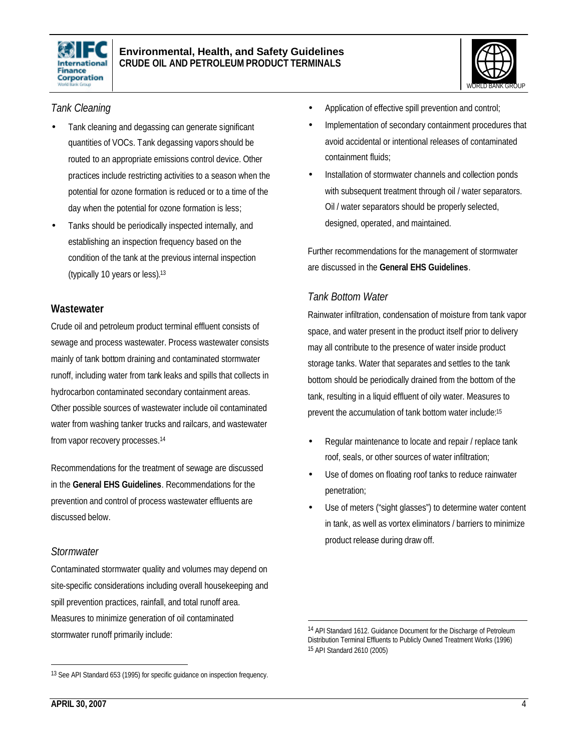



#### *Tank Cleaning*

- Tank cleaning and degassing can generate significant quantities of VOCs. Tank degassing vapors should be routed to an appropriate emissions control device. Other practices include restricting activities to a season when the potential for ozone formation is reduced or to a time of the day when the potential for ozone formation is less;
- Tanks should be periodically inspected internally, and establishing an inspection frequency based on the condition of the tank at the previous internal inspection (typically 10 years or less).<sup>13</sup>

#### **Wastewater**

Crude oil and petroleum product terminal effluent consists of sewage and process wastewater. Process wastewater consists mainly of tank bottom draining and contaminated stormwater runoff, including water from tank leaks and spills that collects in hydrocarbon contaminated secondary containment areas. Other possible sources of wastewater include oil contaminated water from washing tanker trucks and railcars, and wastewater from vapor recovery processes.<sup>14</sup>

Recommendations for the treatment of sewage are discussed in the **General EHS Guidelines**. Recommendations for the prevention and control of process wastewater effluents are discussed below.

#### *Stormwater*

Contaminated stormwater quality and volumes may depend on site-specific considerations including overall housekeeping and spill prevention practices, rainfall, and total runoff area. Measures to minimize generation of oil contaminated stormwater runoff primarily include:

- Application of effective spill prevention and control;
- Implementation of secondary containment procedures that avoid accidental or intentional releases of contaminated containment fluids;
- Installation of stormwater channels and collection ponds with subsequent treatment through oil / water separators. Oil / water separators should be properly selected, designed, operated, and maintained.

Further recommendations for the management of stormwater are discussed in the **General EHS Guidelines**.

#### *Tank Bottom Water*

Rainwater infiltration, condensation of moisture from tank vapor space, and water present in the product itself prior to delivery may all contribute to the presence of water inside product storage tanks. Water that separates and settles to the tank bottom should be periodically drained from the bottom of the tank, resulting in a liquid effluent of oily water. Measures to prevent the accumulation of tank bottom water include:<sup>15</sup>

- Regular maintenance to locate and repair / replace tank roof, seals, or other sources of water infiltration;
- Use of domes on floating roof tanks to reduce rainwater penetration;
- Use of meters ("sight glasses") to determine water content in tank, as well as vortex eliminators / barriers to minimize product release during draw off.

 $\overline{a}$ 

<sup>13</sup> See API Standard 653 (1995) for specific guidance on inspection frequency.

<sup>14</sup> API Standard 1612. Guidance Document for the Discharge of Petroleum Distribution Terminal Effluents to Publicly Owned Treatment Works (1996) 15 API Standard 2610 (2005)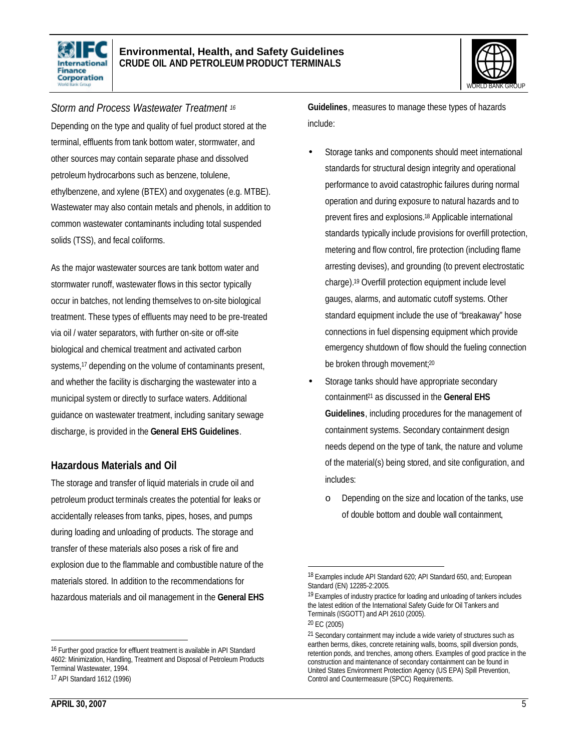



*Storm and Process Wastewater Treatment <sup>16</sup>* Depending on the type and quality of fuel product stored at the terminal, effluents from tank bottom water, stormwater, and other sources may contain separate phase and dissolved petroleum hydrocarbons such as benzene, tolulene, ethylbenzene, and xylene (BTEX) and oxygenates (e.g. MTBE). Wastewater may also contain metals and phenols, in addition to common wastewater contaminants including total suspended solids (TSS), and fecal coliforms.

As the major wastewater sources are tank bottom water and stormwater runoff, wastewater flows in this sector typically occur in batches, not lending themselves to on-site biological treatment. These types of effluents may need to be pre-treated via oil / water separators, with further on-site or off-site biological and chemical treatment and activated carbon systems,17 depending on the volume of contaminants present, and whether the facility is discharging the wastewater into a municipal system or directly to surface waters. Additional guidance on wastewater treatment, including sanitary sewage discharge, is provided in the **General EHS Guidelines**.

#### **Hazardous Materials and Oil**

The storage and transfer of liquid materials in crude oil and petroleum product terminals creates the potential for leaks or accidentally releases from tanks, pipes, hoses, and pumps during loading and unloading of products. The storage and transfer of these materials also poses a risk of fire and explosion due to the flammable and combustible nature of the materials stored. In addition to the recommendations for hazardous materials and oil management in the **General EHS** 

**Guidelines**, measures to manage these types of hazards include:

- Storage tanks and components should meet international standards for structural design integrity and operational performance to avoid catastrophic failures during normal operation and during exposure to natural hazards and to prevent fires and explosions.18 Applicable international standards typically include provisions for overfill protection, metering and flow control, fire protection (including flame arresting devises), and grounding (to prevent electrostatic charge).19 Overfill protection equipment include level gauges, alarms, and automatic cutoff systems. Other standard equipment include the use of "breakaway" hose connections in fuel dispensing equipment which provide emergency shutdown of flow should the fueling connection be broken through movement;<sup>20</sup>
- Storage tanks should have appropriate secondary containment21 as discussed in the **General EHS Guidelines**, including procedures for the management of containment systems. Secondary containment design needs depend on the type of tank, the nature and volume of the material(s) being stored, and site configuration, and includes:
	- o Depending on the size and location of the tanks, use of double bottom and double wall containment,

<sup>&</sup>lt;sup>16</sup> Further good practice for effluent treatment is available in API Standard 4602: Minimization, Handling, Treatment and Disposal of Petroleum Products Terminal Wastewater, 1994.

<sup>18</sup> Examples include API Standard 620; API Standard 650, and; European Standard (EN) 12285-2:2005.

<sup>19</sup> Examples of industry practice for loading and unloading of tankers includes the latest edition of the International Safety Guide for Oil Tankers and Terminals (ISGOTT) and API 2610 (2005).

<sup>20</sup> EC (2005)

<sup>&</sup>lt;sup>21</sup> Secondary containment may include a wide variety of structures such as earthen berms, dikes, concrete retaining walls, booms, spill diversion ponds, retention ponds, and trenches, among others. Examples of good practice in the construction and maintenance of secondary containment can be found in United States Environment Protection Agency (US EPA) Spill Prevention, Control and Countermeasure (SPCC) Requirements.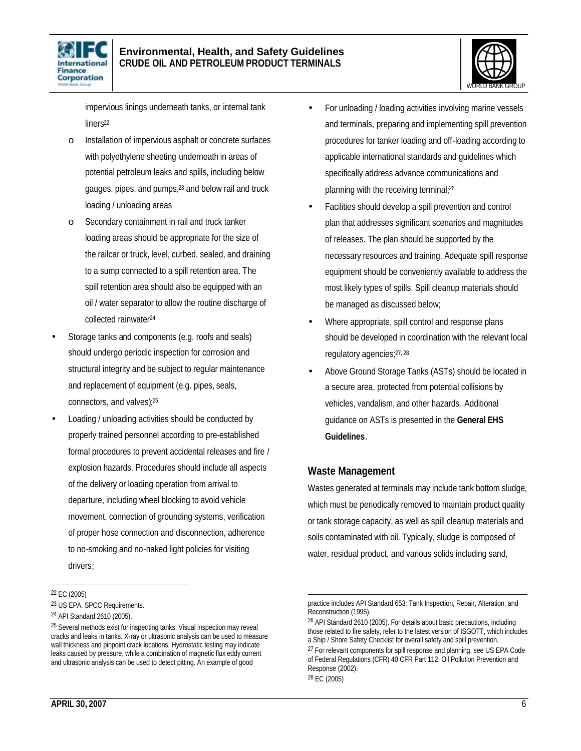



impervious linings underneath tanks, or internal tank liner<sub>s22</sub>

- o Installation of impervious asphalt or concrete surfaces with polyethylene sheeting underneath in areas of potential petroleum leaks and spills, including below gauges, pipes, and pumps,23 and below rail and truck loading / unloading areas
- o Secondary containment in rail and truck tanker loading areas should be appropriate for the size of the railcar or truck, level, curbed, sealed, and draining to a sump connected to a spill retention area. The spill retention area should also be equipped with an oil / water separator to allow the routine discharge of collected rainwater<sup>24</sup>
- Storage tanks and components (e.g. roofs and seals) should undergo periodic inspection for corrosion and structural integrity and be subject to regular maintenance and replacement of equipment (e.g. pipes, seals, connectors, and valves); 25
- Loading / unloading activities should be conducted by properly trained personnel according to pre-established formal procedures to prevent accidental releases and fire / explosion hazards. Procedures should include all aspects of the delivery or loading operation from arrival to departure, including wheel blocking to avoid vehicle movement, connection of grounding systems, verification of proper hose connection and disconnection, adherence to no-smoking and no-naked light policies for visiting drivers;
- For unloading / loading activities involving marine vessels and terminals, preparing and implementing spill prevention procedures for tanker loading and off-loading according to applicable international standards and guidelines which specifically address advance communications and planning with the receiving terminal;<sup>26</sup>
- Facilities should develop a spill prevention and control plan that addresses significant scenarios and magnitudes of releases. The plan should be supported by the necessary resources and training. Adequate spill response equipment should be conveniently available to address the most likely types of spills. Spill cleanup materials should be managed as discussed below;
- Where appropriate, spill control and response plans should be developed in coordination with the relevant local regulatory agencies;27, <sup>28</sup>
- Above Ground Storage Tanks (ASTs) should be located in a secure area, protected from potential collisions by vehicles, vandalism, and other hazards. Additional guidance on ASTs is presented in the **General EHS Guidelines**.

#### **Waste Management**

Wastes generated at terminals may include tank bottom sludge, which must be periodically removed to maintain product quality or tank storage capacity, as well as spill cleanup materials and soils contaminated with oil. Typically, sludge is composed of water, residual product, and various solids including sand,

28 EC (2005)

 22 EC (2005)

<sup>23</sup> US EPA. SPCC Requirements.

<sup>24</sup> API Standard 2610 (2005).

<sup>&</sup>lt;sup>25</sup> Several methods exist for inspecting tanks. Visual inspection may reveal cracks and leaks in tanks. X-ray or ultrasonic analysis can be used to measure wall thickness and pinpoint crack locations. Hydrostatic testing may indicate leaks caused by pressure, while a combination of magnetic flux eddy current and ultrasonic analysis can be used to detect pitting. An example of good

 practice includes API Standard 653: Tank Inspection, Repair, Alteration, and Reconstruction (1995).

<sup>26</sup> API Standard 2610 (2005). For details about basic precautions, including those related to fire safety, refer to the latest version of ISGOTT, which includes a Ship / Shore Safety Checklist for overall safety and spill prevention. <sup>27</sup> For relevant components for spill response and planning, see US EPA Code of Federal Regulations (CFR) 40 CFR Part 112: Oil Pollution Prevention and Response (2002).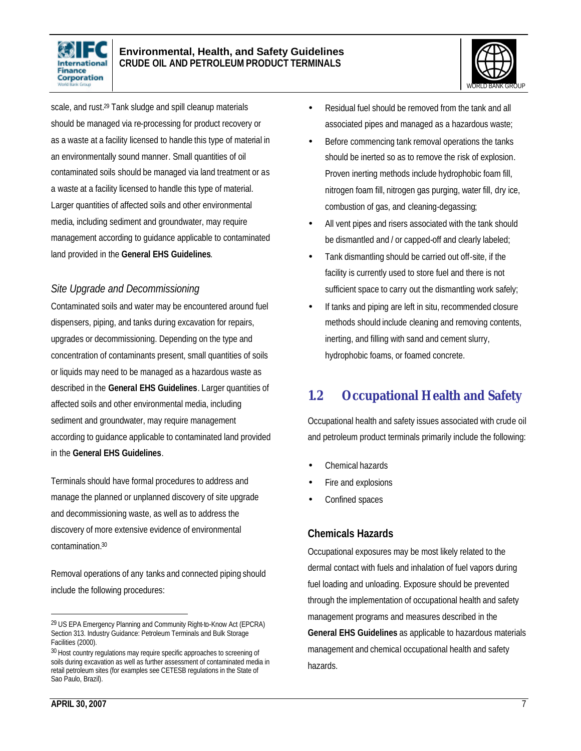

#### **Environmental, Health, and Safety Guidelines CRUDE OIL AND PETROLEUM PRODUCT TERMINALS**



scale, and rust.29 Tank sludge and spill cleanup materials should be managed via re-processing for product recovery or as a waste at a facility licensed to handle this type of material in an environmentally sound manner. Small quantities of oil contaminated soils should be managed via land treatment or as a waste at a facility licensed to handle this type of material. Larger quantities of affected soils and other environmental media, including sediment and groundwater, may require management according to guidance applicable to contaminated land provided in the **General EHS Guidelines**.

#### *Site Upgrade and Decommissioning*

Contaminated soils and water may be encountered around fuel dispensers, piping, and tanks during excavation for repairs, upgrades or decommissioning. Depending on the type and concentration of contaminants present, small quantities of soils or liquids may need to be managed as a hazardous waste as described in the **General EHS Guidelines**. Larger quantities of affected soils and other environmental media, including sediment and groundwater, may require management according to guidance applicable to contaminated land provided in the **General EHS Guidelines**.

Terminals should have formal procedures to address and manage the planned or unplanned discovery of site upgrade and decommissioning waste, as well as to address the discovery of more extensive evidence of environmental contamination.<sup>30</sup>

Removal operations of any tanks and connected piping should include the following procedures:

- Residual fuel should be removed from the tank and all associated pipes and managed as a hazardous waste;
- Before commencing tank removal operations the tanks should be inerted so as to remove the risk of explosion. Proven inerting methods include hydrophobic foam fill, nitrogen foam fill, nitrogen gas purging, water fill, dry ice, combustion of gas, and cleaning-degassing;
- All vent pipes and risers associated with the tank should be dismantled and / or capped-off and clearly labeled;
- Tank dismantling should be carried out off-site, if the facility is currently used to store fuel and there is not sufficient space to carry out the dismantling work safely;
- If tanks and piping are left in situ, recommended closure methods should include cleaning and removing contents, inerting, and filling with sand and cement slurry, hydrophobic foams, or foamed concrete.

### **1.2 Occupational Health and Safety**

Occupational health and safety issues associated with crude oil and petroleum product terminals primarily include the following:

- Chemical hazards
- Fire and explosions
- Confined spaces

#### **Chemicals Hazards**

Occupational exposures may be most likely related to the dermal contact with fuels and inhalation of fuel vapors during fuel loading and unloading. Exposure should be prevented through the implementation of occupational health and safety management programs and measures described in the **General EHS Guidelines** as applicable to hazardous materials management and chemical occupational health and safety hazards.

<sup>29</sup> US EPA Emergency Planning and Community Right-to-Know Act (EPCRA) Section 313. Industry Guidance: Petroleum Terminals and Bulk Storage Facilities (2000).

<sup>30</sup> Host country regulations may require specific approaches to screening of soils during excavation as well as further assessment of contaminated media in retail petroleum sites (for examples see CETESB regulations in the State of Sao Paulo, Brazil).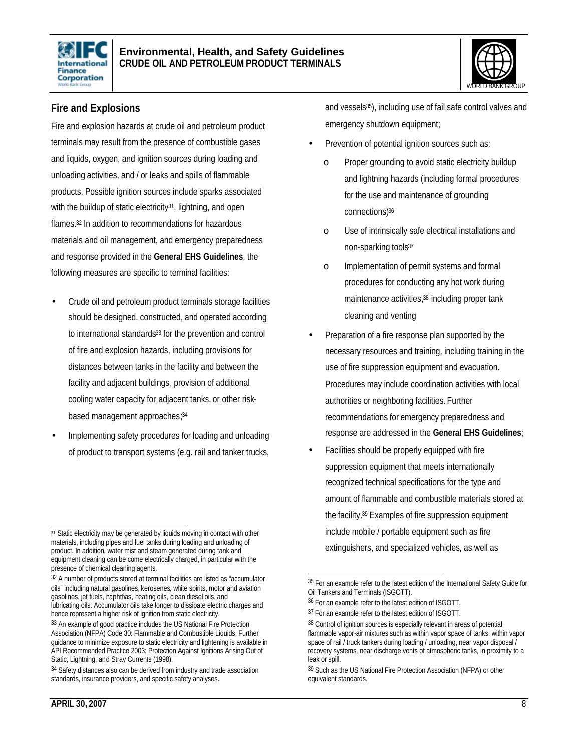



#### **Fire and Explosions**

Fire and explosion hazards at crude oil and petroleum product terminals may result from the presence of combustible gases and liquids, oxygen, and ignition sources during loading and unloading activities, and / or leaks and spills of flammable products. Possible ignition sources include sparks associated with the buildup of static electricity<sup>31</sup>, lightning, and open flames.32 In addition to recommendations for hazardous materials and oil management, and emergency preparedness and response provided in the **General EHS Guidelines**, the following measures are specific to terminal facilities:

- Crude oil and petroleum product terminals storage facilities should be designed, constructed, and operated according to international standards<sup>33</sup> for the prevention and control of fire and explosion hazards, including provisions for distances between tanks in the facility and between the facility and adjacent buildings, provision of additional cooling water capacity for adjacent tanks, or other riskbased management approaches; 34
- Implementing safety procedures for loading and unloading of product to transport systems (e.g. rail and tanker trucks,

and vessels35), including use of fail safe control valves and emergency shutdown equipment;

- Prevention of potential ignition sources such as:
	- o Proper grounding to avoid static electricity buildup and lightning hazards (including formal procedures for the use and maintenance of grounding connections)<sup>36</sup>
	- o Use of intrinsically safe electrical installations and non-sparking tools<sup>37</sup>
	- o Implementation of permit systems and formal procedures for conducting any hot work during maintenance activities,<sup>38</sup> including proper tank cleaning and venting
- Preparation of a fire response plan supported by the necessary resources and training, including training in the use of fire suppression equipment and evacuation. Procedures may include coordination activities with local authorities or neighboring facilities. Further recommendations for emergency preparedness and response are addressed in the **General EHS Guidelines**;
- Facilities should be properly equipped with fire suppression equipment that meets internationally recognized technical specifications for the type and amount of flammable and combustible materials stored at the facility.39 Examples of fire suppression equipment include mobile / portable equipment such as fire extinguishers, and specialized vehicles, as well as

 $\overline{a}$ <sup>31</sup> Static electricity may be generated by liquids moving in contact with other materials, including pipes and fuel tanks during loading and unloading of product. In addition, water mist and steam generated during tank and equipment cleaning can be come electrically charged, in particular with the presence of chemical cleaning agents.

<sup>32</sup> A number of products stored at terminal facilities are listed as "accumulator oils" including natural gasolines, kerosenes, white spirits, motor and aviation gasolines, jet fuels, naphthas, heating oils, clean diesel oils, and lubricating oils. Accumulator oils take longer to dissipate electric charges and hence represent a higher risk of ignition from static electricity.

<sup>33</sup> An example of good practice includes the US National Fire Protection Association (NFPA) Code 30: Flammable and Combustible Liquids. Further guidance to minimize exposure to static electricity and lightening is available in API Recommended Practice 2003: Protection Against Ignitions Arising Out of Static, Lightning, and Stray Currents (1998).

<sup>34</sup> Safety distances also can be derived from industry and trade association standards, insurance providers, and specific safety analyses.

<sup>35</sup> For an example refer to the latest edition of the International Safety Guide for Oil Tankers and Terminals (ISGOTT).

<sup>36</sup> For an example refer to the latest edition of ISGOTT.

<sup>37</sup> For an example refer to the latest edition of ISGOTT.

<sup>38</sup> Control of ignition sources is especially relevant in areas of potential flammable vapor-air mixtures such as within vapor space of tanks, within vapor space of rail / truck tankers during loading / unloading, near vapor disposal / recovery systems, near discharge vents of atmospheric tanks, in proximity to a leak or spill.

<sup>39</sup> Such as the US National Fire Protection Association (NFPA) or other equivalent standards.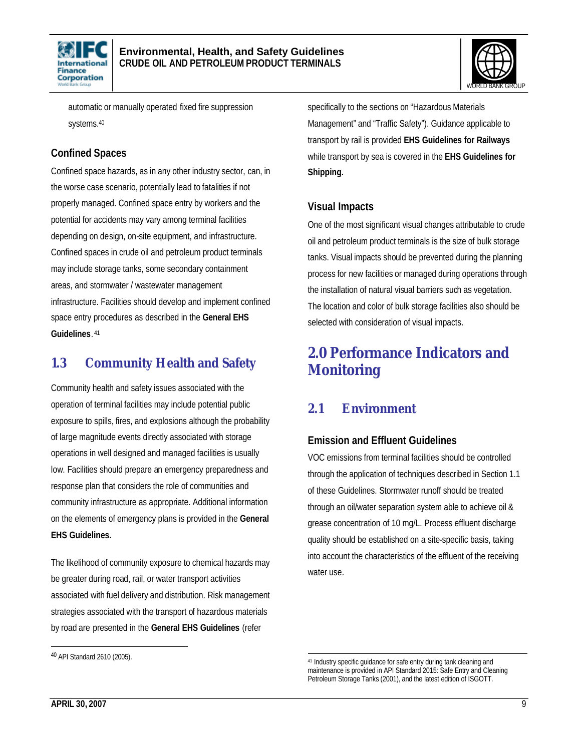



automatic or manually operated fixed fire suppression systems.<sup>40</sup>

#### **Confined Spaces**

Confined space hazards, as in any other industry sector, can, in the worse case scenario, potentially lead to fatalities if not properly managed. Confined space entry by workers and the potential for accidents may vary among terminal facilities depending on design, on-site equipment, and infrastructure. Confined spaces in crude oil and petroleum product terminals may include storage tanks, some secondary containment areas, and stormwater / wastewater management infrastructure. Facilities should develop and implement confined space entry procedures as described in the **General EHS Guidelines**. 41

### **1.3 Community Health and Safety**

Community health and safety issues associated with the operation of terminal facilities may include potential public exposure to spills, fires, and explosions although the probability of large magnitude events directly associated with storage operations in well designed and managed facilities is usually low. Facilities should prepare an emergency preparedness and response plan that considers the role of communities and community infrastructure as appropriate. Additional information on the elements of emergency plans is provided in the **General EHS Guidelines.** 

The likelihood of community exposure to chemical hazards may be greater during road, rail, or water transport activities associated with fuel delivery and distribution. Risk management strategies associated with the transport of hazardous materials by road are presented in the **General EHS Guidelines** (refer

specifically to the sections on "Hazardous Materials Management" and "Traffic Safety"). Guidance applicable to transport by rail is provided **EHS Guidelines for Railways** while transport by sea is covered in the **EHS Guidelines for Shipping.**

#### **Visual Impacts**

One of the most significant visual changes attributable to crude oil and petroleum product terminals is the size of bulk storage tanks. Visual impacts should be prevented during the planning process for new facilities or managed during operations through the installation of natural visual barriers such as vegetation. The location and color of bulk storage facilities also should be selected with consideration of visual impacts.

### **2.0 Performance Indicators and Monitoring**

### **2.1 Environment**

#### **Emission and Effluent Guidelines**

VOC emissions from terminal facilities should be controlled through the application of techniques described in Section 1.1 of these Guidelines. Stormwater runoff should be treated through an oil/water separation system able to achieve oil & grease concentration of 10 mg/L. Process effluent discharge quality should be established on a site-specific basis, taking into account the characteristics of the effluent of the receiving water use.

<sup>40</sup> API Standard 2610 (2005).

 $\overline{a}$ <sup>41</sup> Industry specific guidance for safe entry during tank cleaning and maintenance is provided in API Standard 2015: Safe Entry and Cleaning Petroleum Storage Tanks (2001), and the latest edition of ISGOTT.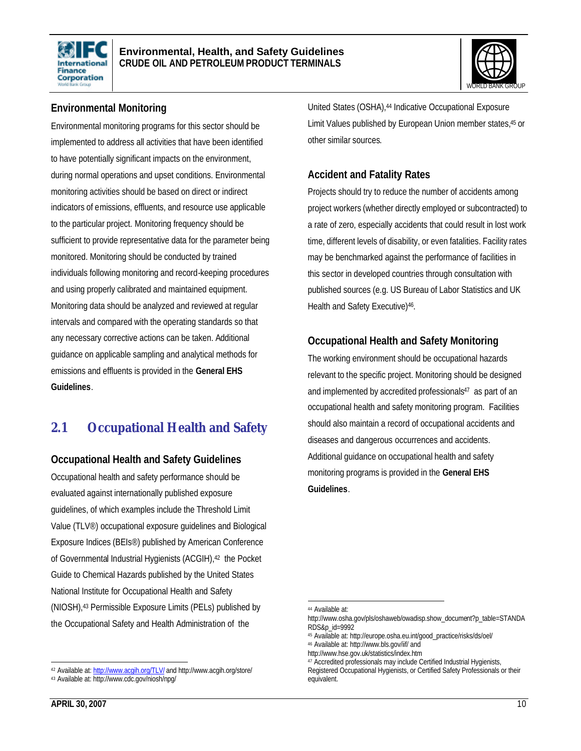



#### **Environmental Monitoring**

Environmental monitoring programs for this sector should be implemented to address all activities that have been identified to have potentially significant impacts on the environment, during normal operations and upset conditions. Environmental monitoring activities should be based on direct or indirect indicators of emissions, effluents, and resource use applicable to the particular project. Monitoring frequency should be sufficient to provide representative data for the parameter being monitored. Monitoring should be conducted by trained individuals following monitoring and record-keeping procedures and using properly calibrated and maintained equipment. Monitoring data should be analyzed and reviewed at regular intervals and compared with the operating standards so that any necessary corrective actions can be taken. Additional guidance on applicable sampling and analytical methods for emissions and effluents is provided in the **General EHS Guidelines**.

### **2.1 Occupational Health and Safety**

#### **Occupational Health and Safety Guidelines**

Occupational health and safety performance should be evaluated against internationally published exposure guidelines, of which examples include the Threshold Limit Value (TLV®) occupational exposure guidelines and Biological Exposure Indices (BEIs®) published by American Conference of Governmental Industrial Hygienists (ACGIH), <sup>42</sup> the Pocket Guide to Chemical Hazards published by the United States National Institute for Occupational Health and Safety (NIOSH),43 Permissible Exposure Limits (PELs) published by the Occupational Safety and Health Administration of the

United States (OSHA),<sup>44</sup> Indicative Occupational Exposure Limit Values published by European Union member states,45 or other similar sources.

#### **Accident and Fatality Rates**

Projects should try to reduce the number of accidents among project workers (whether directly employed or subcontracted) to a rate of zero, especially accidents that could result in lost work time, different levels of disability, or even fatalities. Facility rates may be benchmarked against the performance of facilities in this sector in developed countries through consultation with published sources (e.g. US Bureau of Labor Statistics and UK Health and Safety Executive)<sup>46</sup>.

#### **Occupational Health and Safety Monitoring**

The working environment should be occupational hazards relevant to the specific project. Monitoring should be designed and implemented by accredited professionals<sup>47</sup> as part of an occupational health and safety monitoring program. Facilities should also maintain a record of occupational accidents and diseases and dangerous occurrences and accidents. Additional guidance on occupational health and safety monitoring programs is provided in the **General EHS Guidelines**.

 $\overline{a}$ 42 Available at: http://www.acqih.org/TLV/ and http://www.acgih.org/store/

<sup>43</sup> Available at: http://www.cdc.gov/niosh/npg/

<sup>44</sup> Available at:

http://www.osha.gov/pls/oshaweb/owadisp.show\_document?p\_table=STANDA RDS&p\_id=9992

<sup>45</sup> Available at: http://europe.osha.eu.int/good\_practice/risks/ds/oel/

<sup>46</sup> Available at: http://www.bls.gov/iif/ and

http://www.hse.gov.uk/statistics/index.htm

<sup>47</sup> Accredited professionals may include Certified Industrial Hygienists, Registered Occupational Hygienists, or Certified Safety Professionals or their equivalent.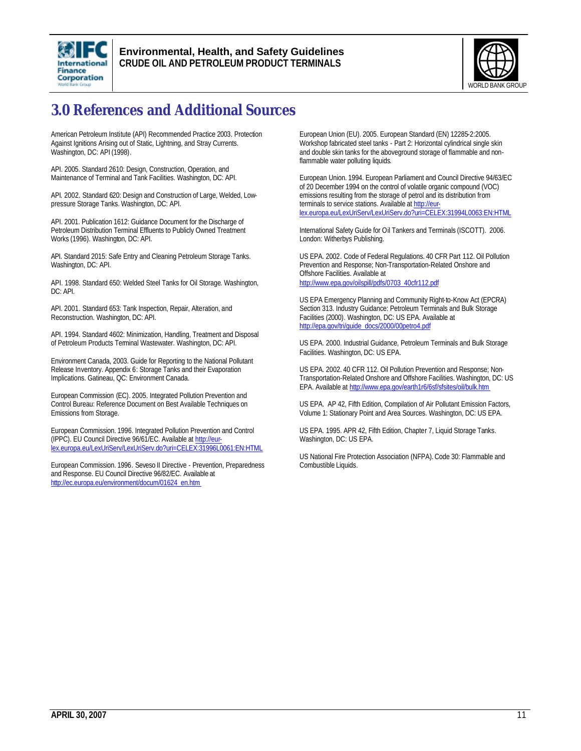



# **3.0 References and Additional Sources**

American Petroleum Institute (API) Recommended Practice 2003. Protection Against Ignitions Arising out of Static, Lightning, and Stray Currents. Washington, DC: API (1998).

API. 2005. Standard 2610: Design, Construction, Operation, and Maintenance of Terminal and Tank Facilities. Washington, DC: API.

API. 2002. Standard 620: Design and Construction of Large, Welded, Lowpressure Storage Tanks. Washington, DC: API.

API. 2001. Publication 1612: Guidance Document for the Discharge of Petroleum Distribution Terminal Effluents to Publicly Owned Treatment Works (1996). Washington, DC: API.

API. Standard 2015: Safe Entry and Cleaning Petroleum Storage Tanks. Washington, DC: API.

API. 1998. Standard 650: Welded Steel Tanks for Oil Storage. Washington, DC: API.

API. 2001. Standard 653: Tank Inspection, Repair, Alteration, and Reconstruction. Washington, DC: API.

API. 1994. Standard 4602: Minimization, Handling, Treatment and Disposal of Petroleum Products Terminal Wastewater. Washington, DC: API.

Environment Canada, 2003. Guide for Reporting to the National Pollutant Release Inventory. Appendix 6: Storage Tanks and their Evaporation Implications. Gatineau, QC: Environment Canada.

European Commission (EC). 2005. Integrated Pollution Prevention and Control Bureau: Reference Document on Best Available Techniques on Emissions from Storage.

European Commission. 1996. Integrated Pollution Prevention and Control (IPPC). EU Council Directive 96/61/EC. Available at http://eurlex.europa.eu/LexUriServ/LexUriServ.do?uri=CELEX:31996L0061:EN:HTML

European Commission. 1996. Seveso II Directive - Prevention, Preparedness and Response. EU Council Directive 96/82/EC. Available at http://ec.europa.eu/environment/docum/01624\_en.htm

European Union (EU). 2005. European Standard (EN) 12285-2:2005. Workshop fabricated steel tanks - Part 2: Horizontal cylindrical single skin and double skin tanks for the aboveground storage of flammable and nonflammable water polluting liquids.

European Union. 1994. European Parliament and Council Directive 94/63/EC of 20 December 1994 on the control of volatile organic compound (VOC) emissions resulting from the storage of petrol and its distribution from terminals to service stations. Available at http://eurlex.europa.eu/LexUriServ/LexUriServ.do?uri=CELEX:31994L0063:EN:HTML

International Safety Guide for Oil Tankers and Terminals (ISCOTT). 2006. London: Witherbys Publishing.

US EPA. 2002. Code of Federal Regulations. 40 CFR Part 112. Oil Pollution Prevention and Response; Non-Transportation-Related Onshore and Offshore Facilities. Available at http://www.epa.gov/oilspill/pdfs/0703\_40cfr112.pdf

US EPA Emergency Planning and Community Right-to-Know Act (EPCRA) Section 313. Industry Guidance: Petroleum Terminals and Bulk Storage Facilities (2000). Washington, DC: US EPA. Available at http://epa.gov/tri/guide\_docs/2000/00petro4.pdf

US EPA. 2000. Industrial Guidance, Petroleum Terminals and Bulk Storage Facilities. Washington, DC: US EPA.

US EPA. 2002. 40 CFR 112. Oil Pollution Prevention and Response; Non-Transportation-Related Onshore and Offshore Facilities. Washington, DC: US EPA. Available at http://www.epa.gov/earth1r6/6sf/sfsites/oil/bulk.htm

US EPA. AP 42, Fifth Edition, Compilation of Air Pollutant Emission Factors, Volume 1: Stationary Point and Area Sources. Washington, DC: US EPA.

US EPA. 1995. APR 42, Fifth Edition, Chapter 7, Liquid Storage Tanks. Washington, DC: US EPA.

US National Fire Protection Association (NFPA). Code 30: Flammable and Combustible Liquids.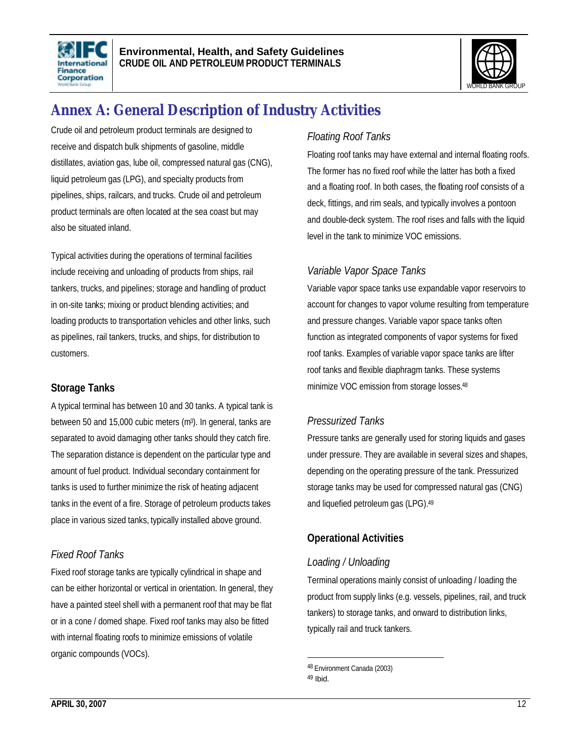



# **Annex A: General Description of Industry Activities**

Crude oil and petroleum product terminals are designed to receive and dispatch bulk shipments of gasoline, middle distillates, aviation gas, lube oil, compressed natural gas (CNG), liquid petroleum gas (LPG), and specialty products from pipelines, ships, railcars, and trucks. Crude oil and petroleum product terminals are often located at the sea coast but may also be situated inland.

Typical activities during the operations of terminal facilities include receiving and unloading of products from ships, rail tankers, trucks, and pipelines; storage and handling of product in on-site tanks; mixing or product blending activities; and loading products to transportation vehicles and other links, such as pipelines, rail tankers, trucks, and ships, for distribution to customers.

#### **Storage Tanks**

A typical terminal has between 10 and 30 tanks. A typical tank is between 50 and 15,000 cubic meters (m<sup>3</sup>). In general, tanks are separated to avoid damaging other tanks should they catch fire. The separation distance is dependent on the particular type and amount of fuel product. Individual secondary containment for tanks is used to further minimize the risk of heating adjacent tanks in the event of a fire. Storage of petroleum products takes place in various sized tanks, typically installed above ground.

#### *Fixed Roof Tanks*

Fixed roof storage tanks are typically cylindrical in shape and can be either horizontal or vertical in orientation. In general, they have a painted steel shell with a permanent roof that may be flat or in a cone / domed shape. Fixed roof tanks may also be fitted with internal floating roofs to minimize emissions of volatile organic compounds (VOCs).

#### *Floating Roof Tanks*

Floating roof tanks may have external and internal floating roofs. The former has no fixed roof while the latter has both a fixed and a floating roof. In both cases, the floating roof consists of a deck, fittings, and rim seals, and typically involves a pontoon and double-deck system. The roof rises and falls with the liquid level in the tank to minimize VOC emissions.

#### *Variable Vapor Space Tanks*

Variable vapor space tanks use expandable vapor reservoirs to account for changes to vapor volume resulting from temperature and pressure changes. Variable vapor space tanks often function as integrated components of vapor systems for fixed roof tanks. Examples of variable vapor space tanks are lifter roof tanks and flexible diaphragm tanks. These systems minimize VOC emission from storage losses.<sup>48</sup>

#### *Pressurized Tanks*

Pressure tanks are generally used for storing liquids and gases under pressure. They are available in several sizes and shapes, depending on the operating pressure of the tank. Pressurized storage tanks may be used for compressed natural gas (CNG) and liquefied petroleum gas (LPG).<sup>49</sup>

#### **Operational Activities**

#### *Loading / Unloading*

Terminal operations mainly consist of unloading / loading the product from supply links (e.g. vessels, pipelines, rail, and truck tankers) to storage tanks, and onward to distribution links, typically rail and truck tankers.

 48 Environment Canada (2003)

<sup>49</sup> Ibid.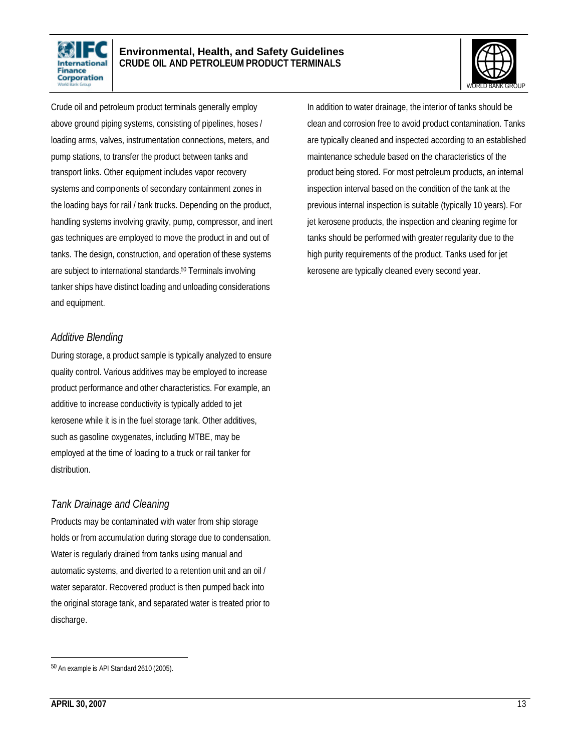



Crude oil and petroleum product terminals generally employ above ground piping systems, consisting of pipelines, hoses / loading arms, valves, instrumentation connections, meters, and pump stations, to transfer the product between tanks and transport links. Other equipment includes vapor recovery systems and components of secondary containment zones in the loading bays for rail / tank trucks. Depending on the product, handling systems involving gravity, pump, compressor, and inert gas techniques are employed to move the product in and out of tanks. The design, construction, and operation of these systems are subject to international standards.50 Terminals involving tanker ships have distinct loading and unloading considerations and equipment.

#### *Additive Blending*

During storage, a product sample is typically analyzed to ensure quality control. Various additives may be employed to increase product performance and other characteristics. For example, an additive to increase conductivity is typically added to jet kerosene while it is in the fuel storage tank. Other additives, such as gasoline oxygenates, including MTBE, may be employed at the time of loading to a truck or rail tanker for distribution.

#### *Tank Drainage and Cleaning*

Products may be contaminated with water from ship storage holds or from accumulation during storage due to condensation. Water is regularly drained from tanks using manual and automatic systems, and diverted to a retention unit and an oil / water separator. Recovered product is then pumped back into the original storage tank, and separated water is treated prior to discharge.

In addition to water drainage, the interior of tanks should be clean and corrosion free to avoid product contamination. Tanks are typically cleaned and inspected according to an established maintenance schedule based on the characteristics of the product being stored. For most petroleum products, an internal inspection interval based on the condition of the tank at the previous internal inspection is suitable (typically 10 years). For jet kerosene products, the inspection and cleaning regime for tanks should be performed with greater regularity due to the high purity requirements of the product. Tanks used for jet kerosene are typically cleaned every second year.

 50 An example is API Standard 2610 (2005).